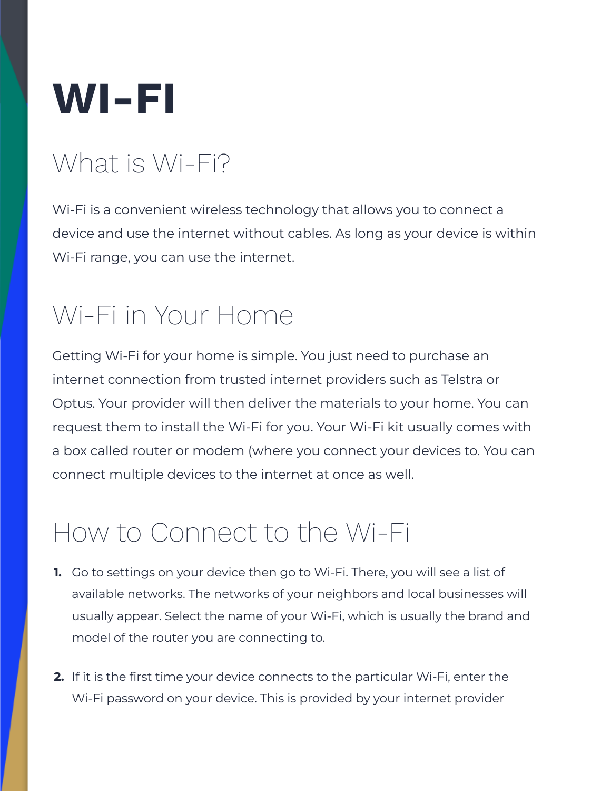

### What is Wi-Fi?

Wi-Fi is a convenient wireless technology that allows you to connect a device and use the internet without cables. As long as your device is within Wi-Fi range, you can use the internet.

### Wi-Fi in Your Home

Getting Wi-Fi for your home is simple. You just need to purchase an internet connection from trusted internet providers such as Telstra or Optus. Your provider will then deliver the materials to your home. You can request them to install the Wi-Fi for you. Your Wi-Fi kit usually comes with a box called router or modem (where you connect your devices to. You can connect multiple devices to the internet at once as well.

#### How to Connect to the Wi-Fi

- **1.** Go to settings on your device then go to Wi-Fi. There, you will see a list of available networks. The networks of your neighbors and local businesses will usually appear. Select the name of your Wi-Fi, which is usually the brand and model of the router you are connecting to.
- **2.** If it is the first time your device connects to the particular Wi-Fi, enter the Wi-Fi password on your device. This is provided by your internet provider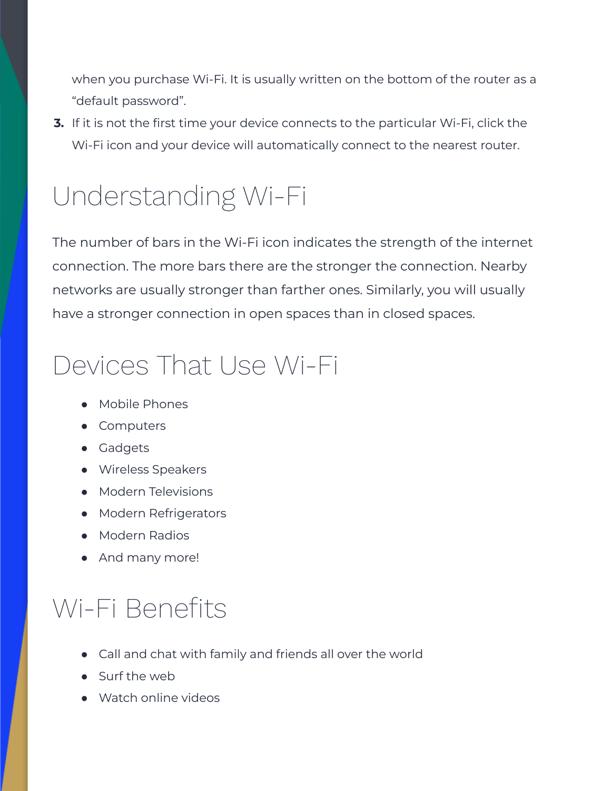when you purchase Wi-Fi. It is usually written on the bottom of the router as a "default password".

**3.** If it is not the first time your device connects to the particular Wi-Fi, click the Wi-Fi icon and your device will automatically connect to the nearest router.

## Understanding Wi-Fi

The number of bars in the Wi-Fi icon indicates the strength of the internet connection. The more bars there are the stronger the connection. Nearby networks are usually stronger than farther ones. Similarly, you will usually have a stronger connection in open spaces than in closed spaces.

#### Devices That Use Wi-Fi

- **●** Mobile Phones
- **●** Computers
- **●** Gadgets
- **●** Wireless Speakers
- **●** Modern Televisions
- **●** Modern Refrigerators
- **●** Modern Radios
- **●** And many more!

# Wi-Fi Benefits

- **●** Call and chat with family and friends all over the world
- **●** Surf the web
- **●** Watch online videos